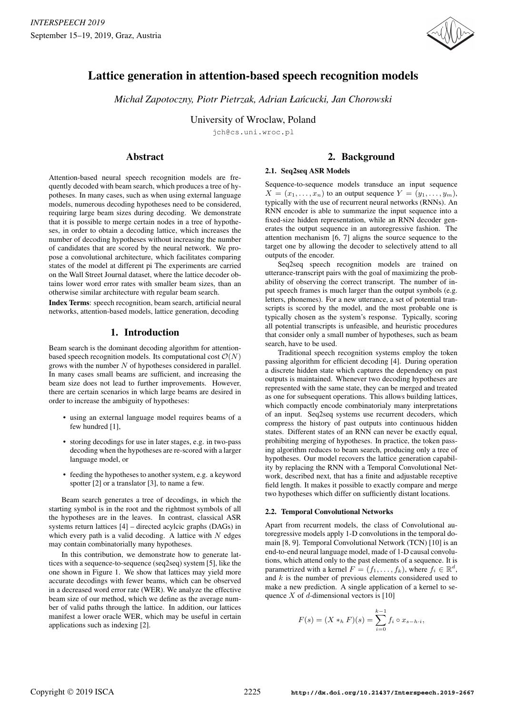

# Lattice generation in attention-based speech recognition models

*Michał Zapotoczny, Piotr Pietrzak, Adrian Łańcucki, Jan Chorowski* 

University of Wroclaw, Poland

jch@cs.uni.wroc.pl

# Abstract

Attention-based neural speech recognition models are frequently decoded with beam search, which produces a tree of hypotheses. In many cases, such as when using external language models, numerous decoding hypotheses need to be considered, requiring large beam sizes during decoding. We demonstrate that it is possible to merge certain nodes in a tree of hypotheses, in order to obtain a decoding lattice, which increases the number of decoding hypotheses without increasing the number of candidates that are scored by the neural network. We propose a convolutional architecture, which facilitates comparing states of the model at different pi The experiments are carried on the Wall Street Journal dataset, where the lattice decoder obtains lower word error rates with smaller beam sizes, than an otherwise similar architecture with regular beam search.

Index Terms: speech recognition, beam search, artificial neural networks, attention-based models, lattice generation, decoding

# 1. Introduction

Beam search is the dominant decoding algorithm for attentionbased speech recognition models. Its computational cost  $\mathcal{O}(N)$ grows with the number  $N$  of hypotheses considered in parallel. In many cases small beams are sufficient, and increasing the beam size does not lead to further improvements. However, there are certain scenarios in which large beams are desired in order to increase the ambiguity of hypotheses:

- using an external language model requires beams of a few hundred [1],
- storing decodings for use in later stages, e.g. in two-pass decoding when the hypotheses are re-scored with a larger language model, or
- feeding the hypotheses to another system, e.g. a keyword spotter [2] or a translator [3], to name a few.

Beam search generates a tree of decodings, in which the starting symbol is in the root and the rightmost symbols of all the hypotheses are in the leaves. In contrast, classical ASR systems return lattices [4] – directed acylcic graphs (DAGs) in which every path is a valid decoding. A lattice with  $N$  edges may contain combinatorially many hypotheses.

In this contribution, we demonstrate how to generate lattices with a sequence-to-sequence (seq2seq) system [5], like the one shown in Figure 1. We show that lattices may yield more accurate decodings with fewer beams, which can be observed in a decreased word error rate (WER). We analyze the effective beam size of our method, which we define as the average number of valid paths through the lattice. In addition, our lattices manifest a lower oracle WER, which may be useful in certain applications such as indexing [2].

# 2. Background

### 2.1. Seq2seq ASR Models

Sequence-to-sequence models transduce an input sequence  $X = (x_1, \ldots, x_n)$  to an output sequence  $Y = (y_1, \ldots, y_m)$ , typically with the use of recurrent neural networks (RNNs). An RNN encoder is able to summarize the input sequence into a fixed-size hidden representation, while an RNN decoder generates the output sequence in an autoregressive fashion. The attention mechanism [6, 7] aligns the source sequence to the target one by allowing the decoder to selectively attend to all outputs of the encoder.

Seq2seq speech recognition models are trained on utterance-transcript pairs with the goal of maximizing the probability of observing the correct transcript. The number of input speech frames is much larger than the output symbols (e.g. letters, phonemes). For a new utterance, a set of potential transcripts is scored by the model, and the most probable one is typically chosen as the system's response. Typically, scoring all potential transcripts is unfeasible, and heuristic procedures that consider only a small number of hypotheses, such as beam search, have to be used.

Traditional speech recognition systems employ the token passing algorithm for efficient decoding [4]. During operation a discrete hidden state which captures the dependency on past outputs is maintained. Whenever two decoding hypotheses are represented with the same state, they can be merged and treated as one for subsequent operations. This allows building lattices, which compactly encode combinatorialy many interpretations of an input. Seq2seq systems use recurrent decoders, which compress the history of past outputs into continuous hidden states. Different states of an RNN can never be exactly equal, prohibiting merging of hypotheses. In practice, the token passing algorithm reduces to beam search, producing only a tree of hypotheses. Our model recovers the lattice generation capability by replacing the RNN with a Temporal Convolutional Network, described next, that has a finite and adjustable receptive field length. It makes it possible to exactly compare and merge two hypotheses which differ on sufficiently distant locations.

#### 2.2. Temporal Convolutional Networks

Apart from recurrent models, the class of Convolutional autoregressive models apply 1-D convolutions in the temporal domain [8, 9]. Temporal Convolutional Network (TCN) [10] is an end-to-end neural language model, made of 1-D causal convolutions, which attend only to the past elements of a sequence. It is parametrized with a kernel  $F = (f_1, \ldots, f_k)$ , where  $f_i \in \mathbb{R}^d$ , and  $k$  is the number of previous elements considered used to make a new prediction. A single application of a kernel to sequence  $X$  of  $d$ -dimensional vectors is [10]

$$
F(s) = (X *_h F)(s) = \sum_{i=0}^{k-1} f_i \circ x_{s-h \cdot i},
$$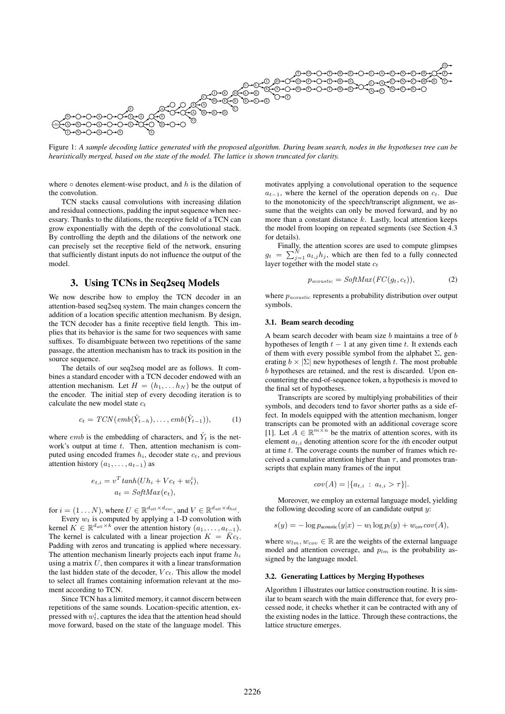

Figure 1: *A sample decoding lattice generated with the proposed algorithm. During beam search, nodes in the hypotheses tree can be heuristically merged, based on the state of the model. The lattice is shown truncated for clarity.*

where  $\circ$  denotes element-wise product, and h is the dilation of the convolution.

TCN stacks causal convolutions with increasing dilation and residual connections, padding the input sequence when necessary. Thanks to the dilations, the receptive field of a TCN can grow exponentially with the depth of the convolutional stack. By controlling the depth and the dilations of the network one can precisely set the receptive field of the network, ensuring that sufficiently distant inputs do not influence the output of the model.

## 3. Using TCNs in Seq2seq Models

We now describe how to employ the TCN decoder in an attention-based seq2seq system. The main changes concern the addition of a location specific attention mechanism. By design, the TCN decoder has a finite receptive field length. This implies that its behavior is the same for two sequences with same suffixes. To disambiguate between two repetitions of the same passage, the attention mechanism has to track its position in the source sequence.

The details of our seq2seq model are as follows. It combines a standard encoder with a TCN decoder endowed with an attention mechanism. Let  $H = (h_1, \ldots, h_N)$  be the output of the encoder. The initial step of every decoding iteration is to calculate the new model state  $c_t$ 

$$
c_t = TCN(emb(\hat{Y}_{t-h}), \dots, emb(\hat{Y}_{t-1})), \tag{1}
$$

where *emb* is the embedding of characters, and  $\hat{Y}_t$  is the network's output at time  $t$ . Then, attention mechanism is computed using encoded frames  $h_i$ , decoder state  $c_t$ , and previous attention history  $(a_1, \ldots, a_{t-1})$  as

$$
e_{t,i} = v^T \tanh(Uh_i + Vc_t + w_t^i),
$$
  
\n
$$
a_t = \text{SoftMax}(e_t),
$$

for  $i = (1 \dots N)$ , where  $U \in \mathbb{R}^{d_{att} \times d_{enc}}$ , and  $V \in \mathbb{R}^{d_{att} \times d_{hid}}$ .

Every  $w_t$  is computed by applying a 1-D convolution with kernel  $K \in \mathbb{R}^{d_{att} \times k}$  over the attention history  $(a_1, \ldots, a_{t-1})$ . The kernel is calculated with a linear projection  $K = \overline{K}c_t$ . Padding with zeros and truncating is applied where necessary. The attention mechanism linearly projects each input frame  $h_i$ using a matrix  $U$ , then compares it with a linear transformation the last hidden state of the decoder,  $V c_t$ . This allow the model to select all frames containing information relevant at the moment according to TCN.

Since TCN has a limited memory, it cannot discern between repetitions of the same sounds. Location-specific attention, expressed with  $w_t^i$ , captures the idea that the attention head should move forward, based on the state of the language model. This motivates applying a convolutional operation to the sequence  $a_{t-1}$ , where the kernel of the operation depends on  $c_t$ . Due to the monotonicity of the speech/transcript alignment, we assume that the weights can only be moved forward, and by no more than a constant distance  $k$ . Lastly, local attention keeps the model from looping on repeated segments (see Section 4.3 for details).

Finally, the attention scores are used to compute glimpses  $g_t = \sum_{j=1}^{N} a_{t,j} h_j$ , which are then fed to a fully connected layer together with the model state  $c_t$ 

$$
p_{acoustic} = SoftMax(FC(g_t, c_t)),
$$
\n(2)

where  $p_{acoustic}$  represents a probability distribution over output symbols.

#### 3.1. Beam search decoding

A beam search decoder with beam size  $b$  maintains a tree of  $b$ hypotheses of length  $t - 1$  at any given time t. It extends each of them with every possible symbol from the alphabet  $\Sigma$ , generating  $b \times |\Sigma|$  new hypotheses of length t. The most probable b hypotheses are retained, and the rest is discarded. Upon encountering the end-of-sequence token, a hypothesis is moved to the final set of hypotheses.

Transcripts are scored by multiplying probabilities of their symbols, and decoders tend to favor shorter paths as a side effect. In models equipped with the attention mechanism, longer transcripts can be promoted with an additional coverage score [1]. Let  $A \in \mathbb{R}^{m \times n}$  be the matrix of attention scores, with its element  $a_{t,i}$  denoting attention score for the *i*th encoder output at time  $t$ . The coverage counts the number of frames which received a cumulative attention higher than  $\tau$ , and promotes transcripts that explain many frames of the input

$$
cov(A) = |\{a_{t,i} : a_{t,i} > \tau\}|.
$$

Moreover, we employ an external language model, yielding the following decoding score of an candidate output  $y$ :

$$
s(y) = -\log p_{\text{acoustic}}(y|x) - w_1 \log p_1(y) + w_{\text{cov}} cov(A),
$$

where  $w_{lm}, w_{cov} \in \mathbb{R}$  are the weights of the external language model and attention coverage, and  $p_{lm}$  is the probability assigned by the language model.

#### 3.2. Generating Lattices by Merging Hypotheses

Algorithm 1 illustrates our lattice construction routine. It is similar to beam search with the main difference that, for every processed node, it checks whether it can be contracted with any of the existing nodes in the lattice. Through these contractions, the lattice structure emerges.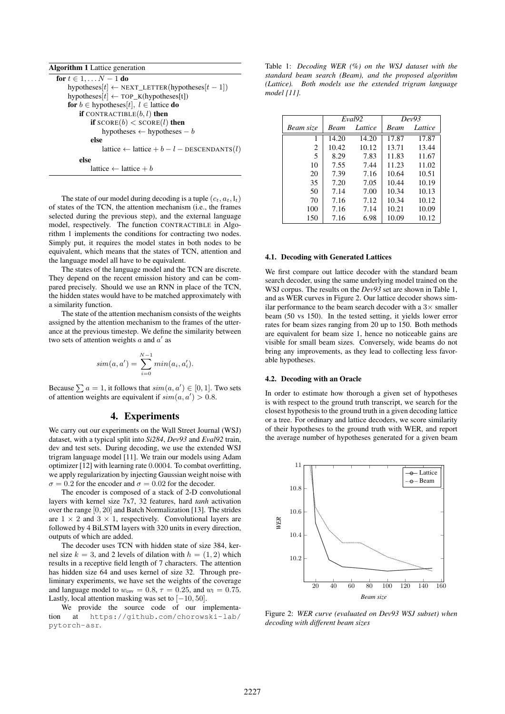Algorithm 1 Lattice generation

for  $t \in 1, \ldots N-1$  do  $hypotheses[t] \leftarrow NEXT\_LETTER(hypotheses[t-1])$  $hypotheses[t] \leftarrow TOP_K(hypotheses[t])$ for  $b \in$  hypotheses[t],  $l \in$  lattice do if CONTRACTIBLE $(b, l)$  then if  $\text{SCORE}(b) < \text{SCORE}(l)$  then hypotheses  $\leftarrow$  hypotheses  $- b$ else lattice ← lattice +  $b - l$  – DESCENDANTS(l) else lattice ← lattice + b

The state of our model during decoding is a tuple  $(c_t, a_t, l_t)$ of states of the TCN, the attention mechanism (i.e., the frames selected during the previous step), and the external language model, respectively. The function CONTRACTIBLE in Algorithm 1 implements the conditions for contracting two nodes. Simply put, it requires the model states in both nodes to be equivalent, which means that the states of TCN, attention and the language model all have to be equivalent.

The states of the language model and the TCN are discrete. They depend on the recent emission history and can be compared precisely. Should we use an RNN in place of the TCN, the hidden states would have to be matched approximately with a similarity function.

The state of the attention mechanism consists of the weights assigned by the attention mechanism to the frames of the utterance at the previous timestep. We define the similarity between two sets of attention weights  $a$  and  $a'$  as

$$
sim(a, a') = \sum_{i=0}^{N-1} min(a_i, a'_i).
$$

Because  $\sum a = 1$ , it follows that  $sim(a, a') \in [0, 1]$ . Two sets of attention weights are equivalent if  $sim(a, a') > 0.8$ .

### 4. Experiments

We carry out our experiments on the Wall Street Journal (WSJ) dataset, with a typical split into *Si284*, *Dev93* and *Eval92* train, dev and test sets. During decoding, we use the extended WSJ trigram language model [11]. We train our models using Adam optimizer [12] with learning rate 0.0004. To combat overfitting, we apply regularization by injecting Gaussian weight noise with  $\sigma = 0.2$  for the encoder and  $\sigma = 0.02$  for the decoder.

The encoder is composed of a stack of 2-D convolutional layers with kernel size 7x7, 32 features, hard *tanh* activation over the range [0, 20] and Batch Normalization [13]. The strides are  $1 \times 2$  and  $3 \times 1$ , respectively. Convolutional layers are followed by 4 BiLSTM layers with 320 units in every direction, outputs of which are added.

The decoder uses TCN with hidden state of size 384, kernel size  $k = 3$ , and 2 levels of dilation with  $h = (1, 2)$  which results in a receptive field length of 7 characters. The attention has hidden size 64 and uses kernel of size 32. Through preliminary experiments, we have set the weights of the coverage and language model to  $w_{\text{cov}} = 0.8$ ,  $\tau = 0.25$ , and  $w_1 = 0.75$ . Lastly, local attention masking was set to  $[-10, 50]$ .

We provide the source code of our implementation at https://github.com/chorowski-lab/ pytorch-asr.

Table 1: *Decoding WER (%) on the WSJ dataset with the standard beam search (Beam), and the proposed algorithm (Lattice). Both models use the extended trigram language model [11].*

|           | Eval <sub>92</sub> |         | Dev93 |         |
|-----------|--------------------|---------|-------|---------|
| Beam size | Beam               | Lattice | Beam  | Lattice |
| 1         | 14.20              | 14.20   | 17.87 | 17.87   |
| 2         | 10.42              | 10.12   | 13.71 | 13.44   |
| 5         | 8.29               | 7.83    | 11.83 | 11.67   |
| 10        | 7.55               | 7.44    | 11.23 | 11.02   |
| 20        | 7.39               | 7.16    | 10.64 | 10.51   |
| 35        | 7.20               | 7.05    | 10.44 | 10.19   |
| 50        | 7.14               | 7.00    | 10.34 | 10.13   |
| 70        | 7.16               | 7.12    | 10.34 | 10.12   |
| 100       | 7.16               | 7.14    | 10.21 | 10.09   |
| 150       | 7.16               | 6.98    | 10.09 | 10.12   |

#### 4.1. Decoding with Generated Lattices

We first compare out lattice decoder with the standard beam search decoder, using the same underlying model trained on the WSJ corpus. The results on the *Dev93* set are shown in Table 1, and as WER curves in Figure 2. Our lattice decoder shows similar performance to the beam search decoder with a  $3\times$  smaller beam (50 vs 150). In the tested setting, it yields lower error rates for beam sizes ranging from 20 up to 150. Both methods are equivalent for beam size 1, hence no noticeable gains are visible for small beam sizes. Conversely, wide beams do not bring any improvements, as they lead to collecting less favorable hypotheses.

### 4.2. Decoding with an Oracle

In order to estimate how thorough a given set of hypotheses is with respect to the ground truth transcript, we search for the closest hypothesis to the ground truth in a given decoding lattice or a tree. For ordinary and lattice decoders, we score similarity of their hypotheses to the ground truth with WER, and report the average number of hypotheses generated for a given beam



Figure 2: *WER curve (evaluated on Dev93 WSJ subset) when decoding with different beam sizes*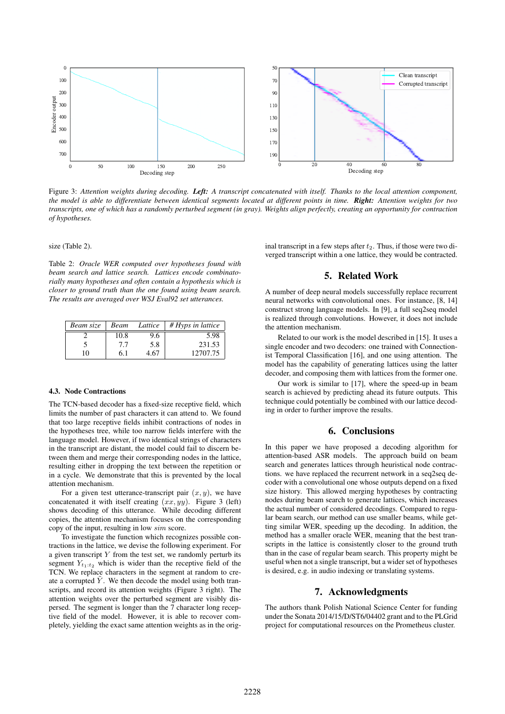

Figure 3: *Attention weights during decoding. Left: A transcript concatenated with itself. Thanks to the local attention component, the model is able to differentiate between identical segments located at different points in time. Right: Attention weights for two transcripts, one of which has a randomly perturbed segment (in gray). Weights align perfectly, creating an opportunity for contraction of hypotheses.*

#### size (Table 2).

Table 2: *Oracle WER computed over hypotheses found with beam search and lattice search. Lattices encode combinatorially many hypotheses and often contain a hypothesis which is closer to ground truth than the one found using beam search. The results are averaged over WSJ Eval92 set utterances.*

| Beam size | Beam | Lattice | $#Hvps$ in lattice |
|-----------|------|---------|--------------------|
|           | 10.8 | 9.6     | 5.98               |
|           | 7.7  | 5.8     | 231.53             |
| 10        | 6.1  | 4.67    | 12707.75           |

#### 4.3. Node Contractions

The TCN-based decoder has a fixed-size receptive field, which limits the number of past characters it can attend to. We found that too large receptive fields inhibit contractions of nodes in the hypotheses tree, while too narrow fields interfere with the language model. However, if two identical strings of characters in the transcript are distant, the model could fail to discern between them and merge their corresponding nodes in the lattice, resulting either in dropping the text between the repetition or in a cycle. We demonstrate that this is prevented by the local attention mechanism.

For a given test utterance-transcript pair  $(x, y)$ , we have concatenated it with itself creating  $(xx, yy)$ . Figure 3 (left) shows decoding of this utterance. While decoding different copies, the attention mechanism focuses on the corresponding copy of the input, resulting in low sim score.

To investigate the function which recognizes possible contractions in the lattice, we devise the following experiment. For a given transcript  $Y$  from the test set, we randomly perturb its segment  $Y_{t_1:t_2}$  which is wider than the receptive field of the TCN. We replace characters in the segment at random to create a corrupted  $\tilde{Y}$ . We then decode the model using both transcripts, and record its attention weights (Figure 3 right). The attention weights over the perturbed segment are visibly dispersed. The segment is longer than the 7 character long receptive field of the model. However, it is able to recover completely, yielding the exact same attention weights as in the original transcript in a few steps after  $t_2$ . Thus, if those were two diverged transcript within a one lattice, they would be contracted.

### 5. Related Work

A number of deep neural models successfully replace recurrent neural networks with convolutional ones. For instance, [8, 14] construct strong language models. In [9], a full seq2seq model is realized through convolutions. However, it does not include the attention mechanism.

Related to our work is the model described in [15]. It uses a single encoder and two decoders: one trained with Connectionist Temporal Classification [16], and one using attention. The model has the capability of generating lattices using the latter decoder, and composing them with lattices from the former one.

Our work is similar to [17], where the speed-up in beam search is achieved by predicting ahead its future outputs. This technique could potentially be combined with our lattice decoding in order to further improve the results.

### 6. Conclusions

In this paper we have proposed a decoding algorithm for attention-based ASR models. The approach build on beam search and generates lattices through heuristical node contractions. we have replaced the recurrent network in a seq2seq decoder with a convolutional one whose outputs depend on a fixed size history. This allowed merging hypotheses by contracting nodes during beam search to generate lattices, which increases the actual number of considered decodings. Compared to regular beam search, our method can use smaller beams, while getting similar WER, speeding up the decoding. In addition, the method has a smaller oracle WER, meaning that the best transcripts in the lattice is consistently closer to the ground truth than in the case of regular beam search. This property might be useful when not a single transcript, but a wider set of hypotheses is desired, e.g. in audio indexing or translating systems.

#### 7. Acknowledgments

The authors thank Polish National Science Center for funding under the Sonata 2014/15/D/ST6/04402 grant and to the PLGrid project for computational resources on the Prometheus cluster.